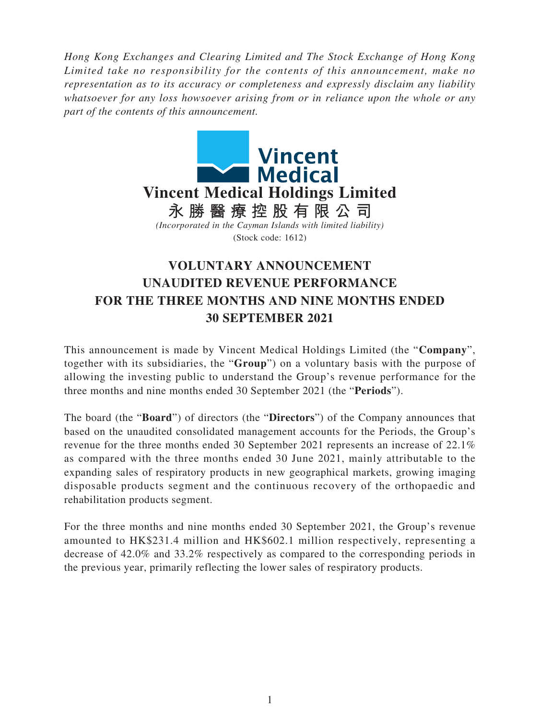*Hong Kong Exchanges and Clearing Limited and The Stock Exchange of Hong Kong Limited take no responsibility for the contents of this announcement, make no representation as to its accuracy or completeness and expressly disclaim any liability whatsoever for any loss howsoever arising from or in reliance upon the whole or any part of the contents of this announcement.*



## **VOLUNTARY ANNOUNCEMENT UNAUDITED REVENUE PERFORMANCE FOR THE THREE MONTHS AND NINE MONTHS ENDED 30 SEPTEMBER 2021**

This announcement is made by Vincent Medical Holdings Limited (the "**Company**", together with its subsidiaries, the "**Group**") on a voluntary basis with the purpose of allowing the investing public to understand the Group's revenue performance for the three months and nine months ended 30 September 2021 (the "**Periods**").

The board (the "**Board**") of directors (the "**Directors**") of the Company announces that based on the unaudited consolidated management accounts for the Periods, the Group's revenue for the three months ended 30 September 2021 represents an increase of 22.1% as compared with the three months ended 30 June 2021, mainly attributable to the expanding sales of respiratory products in new geographical markets, growing imaging disposable products segment and the continuous recovery of the orthopaedic and rehabilitation products segment.

For the three months and nine months ended 30 September 2021, the Group's revenue amounted to HK\$231.4 million and HK\$602.1 million respectively, representing a decrease of 42.0% and 33.2% respectively as compared to the corresponding periods in the previous year, primarily reflecting the lower sales of respiratory products.